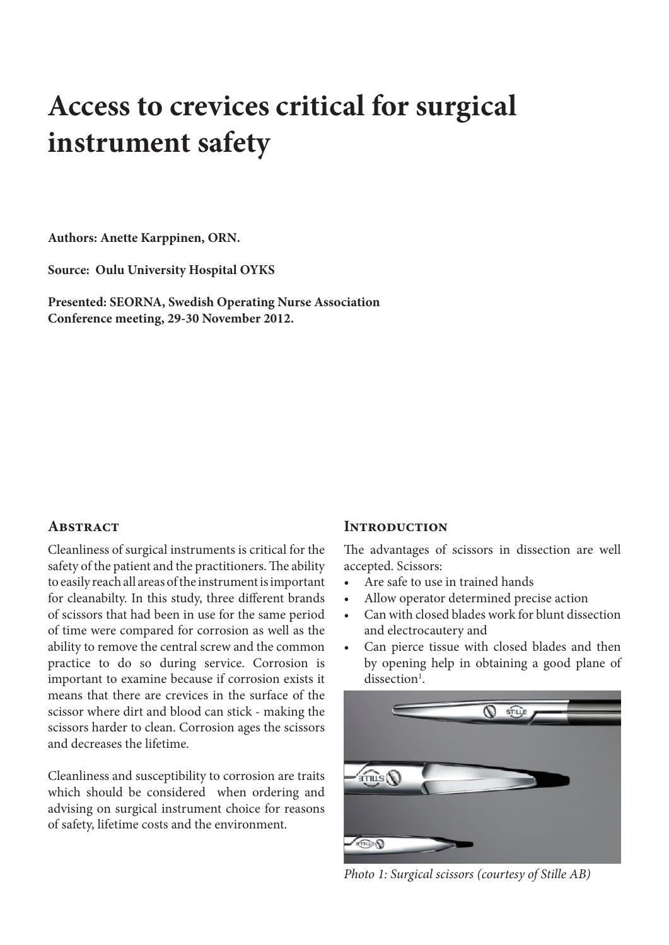# **Access to crevices critical for surgical instrument safety**

**Authors: Anette Karppinen, ORN.** 

**Source: Oulu University Hospital OYKS**

**Presented: SEORNA, Swedish Operating Nurse Association Conference meeting, 29-30 November 2012.** 

# **ABSTRACT**

Cleanliness of surgical instruments is critical for the safety of the patient and the practitioners. The ability to easily reach all areas of the instrument is important for cleanabilty. In this study, three different brands of scissors that had been in use for the same period of time were compared for corrosion as well as the ability to remove the central screw and the common practice to do so during service. Corrosion is important to examine because if corrosion exists it means that there are crevices in the surface of the scissor where dirt and blood can stick - making the scissors harder to clean. Corrosion ages the scissors and decreases the lifetime.

Cleanliness and susceptibility to corrosion are traits which should be considered when ordering and advising on surgical instrument choice for reasons of safety, lifetime costs and the environment.

#### **Introduction**

The advantages of scissors in dissection are well accepted. Scissors:

- Are safe to use in trained hands
- • Allow operator determined precise action
- Can with closed blades work for blunt dissection and electrocautery and
- Can pierce tissue with closed blades and then by opening help in obtaining a good plane of dissection<sup>1</sup>.



*Photo 1: Surgical scissors (courtesy of Stille AB)*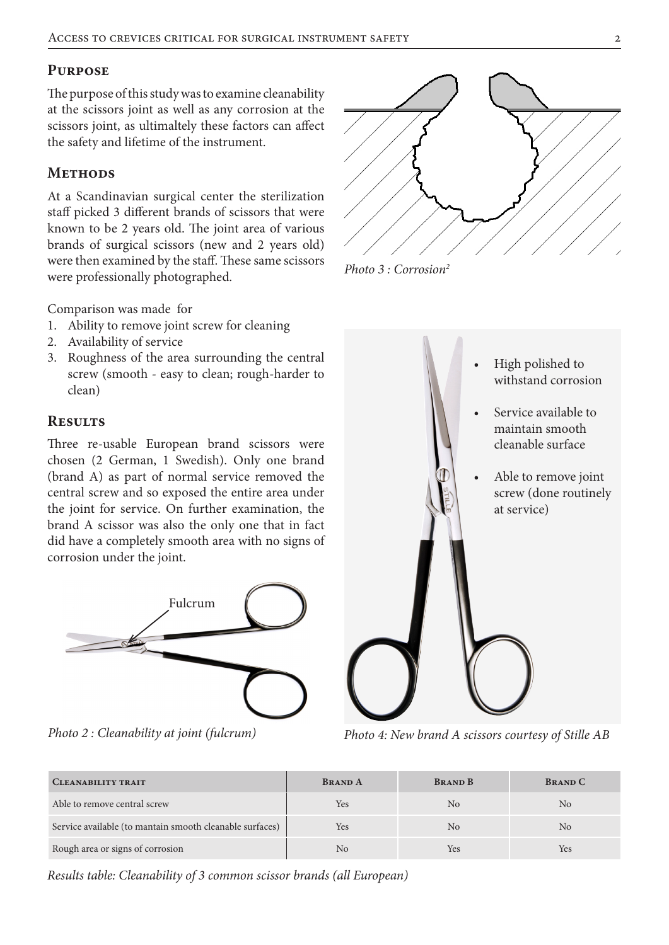# **Purpose**

The purpose of this study was to examine cleanability at the scissors joint as well as any corrosion at the scissors joint, as ultimaltely these factors can affect the safety and lifetime of the instrument.

# **METHODS**

At a Scandinavian surgical center the sterilization staff picked 3 different brands of scissors that were known to be 2 years old. The joint area of various brands of surgical scissors (new and 2 years old) were then examined by the staff. These same scissors were professionally photographed.

Comparison was made for

- 1. Ability to remove joint screw for cleaning
- 2. Availability of service
- 3. Roughness of the area surrounding the central screw (smooth - easy to clean; rough-harder to clean)

# **Results**

Three re-usable European brand scissors were chosen (2 German, 1 Swedish). Only one brand (brand A) as part of normal service removed the central screw and so exposed the entire area under the joint for service. On further examination, the brand A scissor was also the only one that in fact did have a completely smooth area with no signs of corrosion under the joint.



*Photo 2 : Cleanability at joint (fulcrum)*



*Photo 3 : Corrosion2*



*Photo 4: New brand A scissors courtesy of Stille AB*

| <b>CLEANABILITY TRAIT</b>                                | <b>BRAND A</b> | <b>BRAND B</b> | <b>BRAND C</b> |
|----------------------------------------------------------|----------------|----------------|----------------|
| Able to remove central screw                             | Yes            | N <sub>0</sub> | No             |
| Service available (to mantain smooth cleanable surfaces) | Yes            | N <sub>0</sub> | N <sub>0</sub> |
| Rough area or signs of corrosion                         | No             | Yes            | Yes            |

*Results table: Cleanability of 3 common scissor brands (all European)*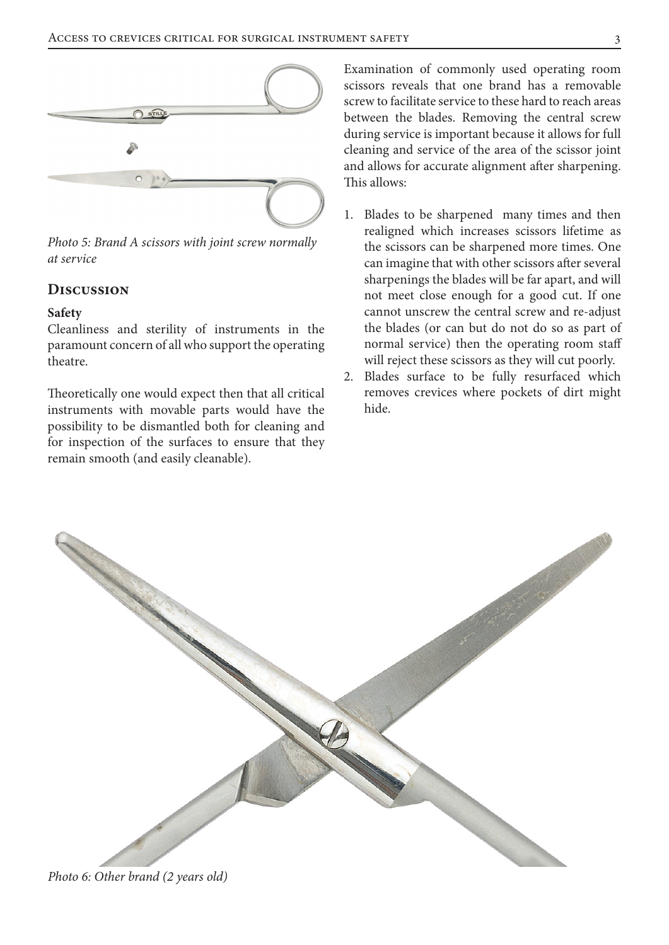

*Photo 5: Brand A scissors with joint screw normally at service*

## **Discussion**

#### **Safety**

Cleanliness and sterility of instruments in the paramount concern of all who support the operating theatre.

Theoretically one would expect then that all critical instruments with movable parts would have the possibility to be dismantled both for cleaning and for inspection of the surfaces to ensure that they remain smooth (and easily cleanable).

Examination of commonly used operating room scissors reveals that one brand has a removable screw to facilitate service to these hard to reach areas between the blades. Removing the central screw during service is important because it allows for full cleaning and service of the area of the scissor joint and allows for accurate alignment after sharpening. This allows:

- 1. Blades to be sharpened many times and then realigned which increases scissors lifetime as the scissors can be sharpened more times. One can imagine that with other scissors after several sharpenings the blades will be far apart, and will not meet close enough for a good cut. If one cannot unscrew the central screw and re-adjust the blades (or can but do not do so as part of normal service) then the operating room staff will reject these scissors as they will cut poorly.
- 2. Blades surface to be fully resurfaced which removes crevices where pockets of dirt might hide.



*Photo 6: Other brand (2 years old)*